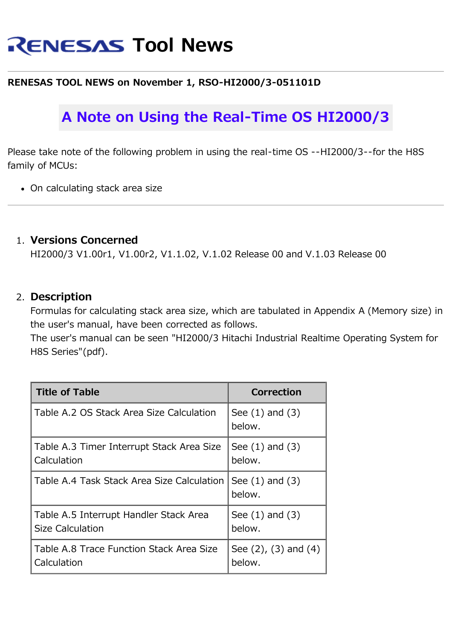# **RENESAS Tool News**

### **RENESAS TOOL NEWS on November 1, RSO-HI2000/3-051101D**

## **A Note on Using the Real-Time OS HI2000/3**

Please take note of the following problem in using the real-time OS --HI2000/3--for the H8S family of MCUs:

On calculating stack area size

### 1. **Versions Concerned**

HI2000/3 V1.00r1, V1.00r2, V1.1.02, V.1.02 Release 00 and V.1.03 Release 00

### 2. **Description**

Formulas for calculating stack area size, which are tabulated in Appendix A (Memory size) in the user's manual, have been corrected as follows.

The user's manual can be seen "HI2000/3 Hitachi Industrial Realtime Operating System for H8S Series"(pdf).

| <b>Title of Table</b>                      | <b>Correction</b>             |
|--------------------------------------------|-------------------------------|
| Table A.2 OS Stack Area Size Calculation   | See $(1)$ and $(3)$<br>below. |
| Table A.3 Timer Interrupt Stack Area Size  | See $(1)$ and $(3)$           |
| Calculation                                | below.                        |
| Table A.4 Task Stack Area Size Calculation | See $(1)$ and $(3)$<br>below. |
| Table A.5 Interrupt Handler Stack Area     | See $(1)$ and $(3)$           |
| <b>Size Calculation</b>                    | below.                        |
| Table A.8 Trace Function Stack Area Size   | See $(2)$ , $(3)$ and $(4)$   |
| Calculation                                | below.                        |